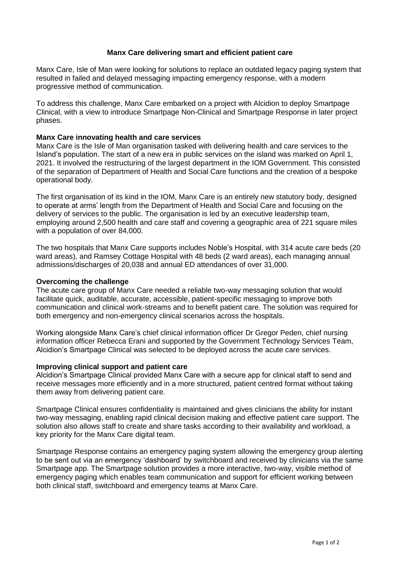## **Manx Care delivering smart and efficient patient care**

Manx Care, Isle of Man were looking for solutions to replace an outdated legacy paging system that resulted in failed and delayed messaging impacting emergency response, with a modern progressive method of communication.

To address this challenge, Manx Care embarked on a project with Alcidion to deploy Smartpage Clinical, with a view to introduce Smartpage Non-Clinical and Smartpage Response in later project phases.

# **Manx Care innovating health and care services**

Manx Care is the Isle of Man organisation tasked with delivering health and care services to the Island's population. The start of a new era in public services on the island was marked on April 1, 2021. It involved the restructuring of the largest department in the IOM Government. This consisted of the separation of Department of Health and Social Care functions and the creation of a bespoke operational body.

The first organisation of its kind in the IOM, Manx Care is an entirely new statutory body, designed to operate at arms' length from the Department of Health and Social Care and focusing on the delivery of services to the public. The organisation is led by an executive leadership team, employing around 2,500 health and care staff and covering a geographic area of 221 square miles with a population of over 84,000.

The two hospitals that Manx Care supports includes Noble's Hospital, with 314 acute care beds (20 ward areas), and Ramsey Cottage Hospital with 48 beds (2 ward areas), each managing annual admissions/discharges of 20,038 and annual ED attendances of over 31,000.

## **Overcoming the challenge**

The acute care group of Manx Care needed a reliable two-way messaging solution that would facilitate quick, auditable, accurate, accessible, patient-specific messaging to improve both communication and clinical work-streams and to benefit patient care. The solution was required for both emergency and non-emergency clinical scenarios across the hospitals.

Working alongside Manx Care's chief clinical information officer Dr Gregor Peden, chief nursing information officer Rebecca Erani and supported by the Government Technology Services Team, Alcidion's Smartpage Clinical was selected to be deployed across the acute care services.

#### **Improving clinical support and patient care**

Alcidion's Smartpage Clinical provided Manx Care with a secure app for clinical staff to send and receive messages more efficiently and in a more structured, patient centred format without taking them away from delivering patient care.

Smartpage Clinical ensures confidentiality is maintained and gives clinicians the ability for instant two-way messaging, enabling rapid clinical decision making and effective patient care support. The solution also allows staff to create and share tasks according to their availability and workload, a key priority for the Manx Care digital team.

Smartpage Response contains an emergency paging system allowing the emergency group alerting to be sent out via an emergency 'dashboard' by switchboard and received by clinicians via the same Smartpage app. The Smartpage solution provides a more interactive, two-way, visible method of emergency paging which enables team communication and support for efficient working between both clinical staff, switchboard and emergency teams at Manx Care.